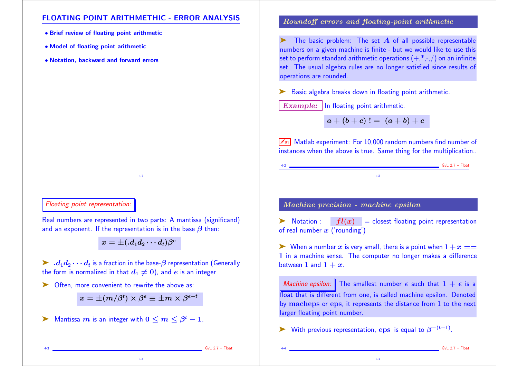# FLOATING POINT ARITHMETHIC - ERROR ANALYSIS

- Brief review of floating point arithmetic
- Model of floating point arithmetic
- Notation, backward and forward errors

## Roundoff errors and floating-point arithmetic

The basic problem: The set  $A$  of all possible representable numbers on a given machine is finite - but we would like to use this set to perform standard arithmetic operations  $(+,*,-,)$  on an infinite set. The usual algebra rules are no longer satisfied since results of operations are rounded.

► Basic algebra breaks down in floating point arithmetic.

 $Example:$  In floating point arithmetic.

 $a + (b + c)$ ! =  $(a + b) + c$ 

 $\sqrt{\mathbb{Z}_{D1}}$  Matlab experiment: For 10,000 random numbers find number of instances when the above is true. Same thing for the multiplication..

4-2

# Floating point representation:

Real numbers are represented in two parts: A mantissa (significand) and an exponent. If the representation is in the base  $\beta$  then:

4-1

 $x=\pm(\textit{.}d_{1}d_{2}\cdots d_{t})\beta^{e}$ 

 $\blacktriangleright\ d_1d_2\cdots d_t$  is a fraction in the base- $\beta$  representation (Generally the form is normalized in that  $d_1 \neq 0$ ), and e is an integer

➤ Often, more convenient to rewrite the above as:

 $x=\pm (m/\beta^t)\times \beta^e\equiv \pm m\times \beta^{e-t}$ 

4-3

 $\blacktriangleright$  Mantissa  $m$  is an integer with  $0 \leq m \leq \beta^t - 1$ .

## Machine precision - machine epsilon

ightharpoon  $\mathbf{F}$  is the closest floating point representation of real number  $x$  ('rounding')

 $\triangleright$  When a number x is very small, there is a point when  $1+x ==$ 1 in a machine sense. The computer no longer makes a difference between 1 and  $1 + x$ .

Machine epsilon: The smallest number  $\epsilon$  such that  $1 + \epsilon$  is a float that is different from one, is called machine epsilon. Denoted by macheps or eps, it represents the distance from 1 to the next larger floating point number.

4-4

► With previous representation, eps is equal to  $\beta^{-(t-1)}$ .

 $GvL$  2.7 – Float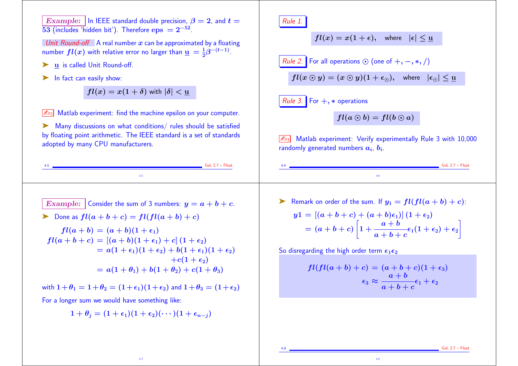Example:  $\vert \ln \vert$  IEEE standard double precision,  $\beta = 2$ , and  $t =$ 53 (includes 'hidden bit'). Therefore  $eps = 2^{-52}$ . Unit Round-off A real number x can be approximated by a floating number  $fl(x)$  with relative error no larger than  $\underline{u} = \frac{1}{2}\beta^{-(t-1)}$ . ► u is called Unit Round-off. ► In fact can easily show:  $fl(x) = x(1 + \delta)$  with  $|\delta| < u$  $\sqrt{\mathbb{Z}_{D2}}$  Matlab experiment: find the machine epsilon on your computer. ➤ Many discussions on what conditions/ rules should be satisfied by floating point arithmetic. The IEEE standard is a set of standards adopted by many CPU manufacturers.  $-GvL 2.7 - Float$ 4-5 Rule 1.  $fl(x) = x(1 + \epsilon)$ , where  $|\epsilon| < u$ *Rule 2.* For all operations  $\odot$  (one of  $+, -, *, /)$  $fl(x \odot y) = (x \odot y)(1 + \epsilon_{\odot})$ , where  $|\epsilon_{\odot}| < u$ Rule 3. For  $+$ ,  $*$  operations  $fl(a \odot b) = fl(b \odot a)$ Matlab experiment: Verify experimentally Rule 3 with 10,000 randomly generated numbers  $\bm{a_i},\,\bm{b_i}.$  $GvL$  2.7 – Float 4-6 Example: Consider the sum of 3 numbers:  $y = a + b + c$ .  $\triangleright$  Done as  $fl(a + b + c) = fl(fl(a + b) + c)$  $fl(a + b) = (a + b)(1 + \epsilon_1)$  $fl(a + b + c) = [(a + b)(1 + \epsilon_1) + c](1 + \epsilon_2)$  $= a(1 + \epsilon_1)(1 + \epsilon_2) + b(1 + \epsilon_1)(1 + \epsilon_2)$  $+c(1+\epsilon_2)$  $= a(1 + \theta_1) + b(1 + \theta_2) + c(1 + \theta_3)$ with  $1+\theta_1 = 1+\theta_2 = (1+\epsilon_1)(1+\epsilon_2)$  and  $1+\theta_3 = (1+\epsilon_2)$ For a longer sum we would have something like:  $1 + \theta_i = (1 + \epsilon_1)(1 + \epsilon_2)(\cdots)(1 + \epsilon_{n-i})$ Example 1 Remark on order of the sum. If  $y_1 = fl(f l(a + b) + c)$ :  $y1 = [(a+b+c) + (a+b)\epsilon_1] (1+\epsilon_2)$  $=(a+b+c)$  $\Gamma$  $1+ \bm{a}+\bm{b}$  $\bm{a+b+c}$  $\vert \epsilon_1(1 + \epsilon_2) + \epsilon_2 \vert$  $\mathbb{L}$ So disregarding the high order term  $\epsilon_1 \epsilon_2$  $fl (fl(a + b) + c) = (a + b + c)(1 + \epsilon_3)$  $\epsilon_3 \approx \bm{a}+\bm{b}^ \bm{a+b+c}$  $\epsilon_1+\epsilon_2$ 

4-7

 $GvL$  2.7 – Float

4-8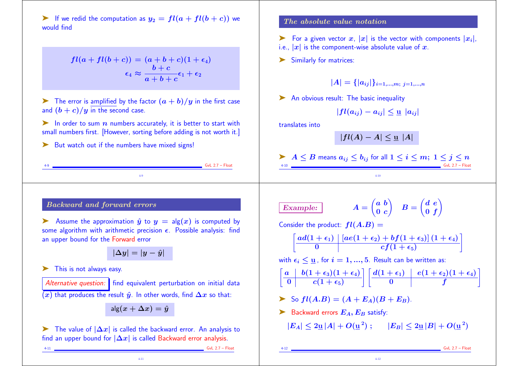ightharpoonup If we redid the computation as  $y_2 = fl(a + fl(b + c))$  we would find

> $fl(a + fl(b + c)) = (a + b + c)(1 + \epsilon_4)$  $\epsilon_4 \approx \bm{b}+\bm{c}^ \bm{a+b+c}$  $\epsilon_1+\epsilon_2$

 $\blacktriangleright$  The error is amplified by the factor  $(a + b)/y$  in the first case and  $(b + c)/y$  in the second case.

in order to sum  $n$  numbers accurately, it is better to start with small numbers first. [However, sorting before adding is not worth it.]

4-9

► But watch out if the numbers have mixed signs!

### The absolute value notation

 $\triangleright$  For a given vector x, |x| is the vector with components  $|x_i|$ ,

i.e.,  $|x|$  is the component-wise absolute value of x.

➤ Similarly for matrices:

 $|A| = \{|a_{ij}|\}_{i=1,\dots,m;\ i=1,\dots,n}$ 

▶ An obvious result: The basic inequality

$$
|fl(a_{ij})-a_{ij}|\leq \underline{u} \, |a_{ij}|
$$

translates into

$$
|fl(A)-A|\leq \underline{u} |A|
$$

$$
\blacktriangleright \underbrace{A \leq B \text{ means } a_{ij} \leq b_{ij} \text{ for all } 1 \leq i \leq m; \; 1 \leq j \leq n}_{\text{Gul 2.7 - float}}
$$

4-10

## Backward and forward errors

Assume the approximation  $\hat{u}$  to  $y = \text{alg}(x)$  is computed by some algorithm with arithmetic precision  $\epsilon$ . Possible analysis: find an upper bound for the Forward error

$$
|\Delta y|=|y-\hat{y}|
$$

➤ This is not always easy.

Alternative question:  $\parallel$  find equivalent perturbation on initial data  $(x)$  that produces the result  $\hat{y}$ . In other words, find  $\Delta x$  so that:

$$
\mathsf{alg}(x+\Delta x) = \hat{y}
$$

Exteed The value of  $|\Delta x|$  is called the backward error. An analysis to find an upper bound for  $|\Delta x|$  is called Backward error analysis.

4-11

4-11 GvL 2.7 – Float

 $GvL$  2.7 – Float

 $Example:$  $(a\ b)$  $0\,c/$  $\Delta$  $B = |$  $\left(\frac{d}{e}\right)^n$  $0 \, \, f$  )

Consider the product:  $fl(A.B) =$ 

$$
\left[\begin{array}{c|c} ad(1+\epsilon_1) & [ae(1+\epsilon_2)+bf(1+\epsilon_3)]\,(1+\epsilon_4) \\ \hline 0 & cf(1+\epsilon_5) \end{array}\right]
$$

with  $\epsilon_i \leq u$ , for  $i = 1, ..., 5$ . Result can be written as:

$$
\left[\begin{array}{c|c} a & b(1+\epsilon_3)(1+\epsilon_4) \\ \hline 0 & c(1+\epsilon_5) \end{array}\right] \left[\begin{array}{c|c} d(1+\epsilon_1) & e(1+\epsilon_2)(1+\epsilon_4) \\ \hline 0 & f \end{array}\right]
$$

$$
\triangleright \text{ So } fl(A.B) = (A + E_A)(B + E_B).
$$

 $\blacktriangleright$  Backward errors  $E_A, E_B$  satisfy:

 $|E_A| \leq 2u |A| + O(u^2)$ ;  $|E_B| \leq 2u |B| + O(u^2)$ 

4-12

 $GvL$  2.7 – Float

 $\sum_{i=1}^{n}$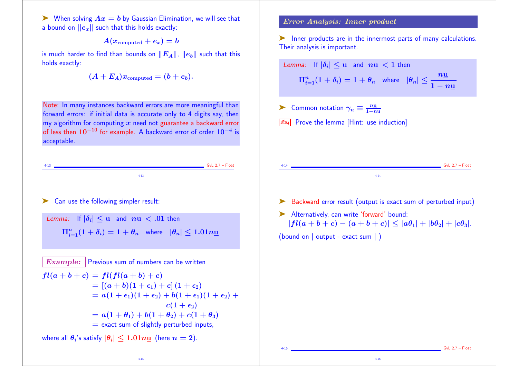$\triangleright$  When solving  $Ax = b$  by Gaussian Elimination, we will see that a bound on  $||e_x||$  such that this holds exactly:

 $A(x_{\text{computed}} + e_x) = b$ 

is much harder to find than bounds on  $||E_A||$ ,  $||e_b||$  such that this holds exactly:

$$
(A+E_A)x_{\rm computed}=(b+e_b).
$$

#### Error Analysis: Inner product

➤ Inner products are in the innermost parts of many calculations. Their analysis is important.

| is much harder to find than bounds on $  E_A  ,$ $  e_b  $ such that this<br>olds exactly:<br>$(A + E_A)x_{\text{computed}} = (b + e_b).$                                                                                                                                                                                                                                                                                                                 | Lemma: If $ \delta_i  \leq \underline{u}$ and $n\underline{u} < 1$ then<br>$\Pi_{i=1}^n(1+\delta_i)=1+\theta_n$ where $ \theta_n \leq \frac{n\underline{u}}{1-n\underline{u}}$                                           |
|-----------------------------------------------------------------------------------------------------------------------------------------------------------------------------------------------------------------------------------------------------------------------------------------------------------------------------------------------------------------------------------------------------------------------------------------------------------|--------------------------------------------------------------------------------------------------------------------------------------------------------------------------------------------------------------------------|
| Note: In many instances backward errors are more meaningful than<br>forward errors: if initial data is accurate only to 4 digits say, then<br>my algorithm for computing $\bar{x}$ need not guarantee a backward error<br>of less then $10^{-10}$ for example. A backward error of order $10^{-4}$ is<br>acceptable.                                                                                                                                      | Common notation $\gamma_n \equiv \frac{n \underline{u}}{1-n \underline{u}}$<br>Prove the lemma [Hint: use induction]<br>$\mathbb{Z}_{94}$                                                                                |
| $GvL$ 2.7 - Float<br>4-13<br>$4 - 13$                                                                                                                                                                                                                                                                                                                                                                                                                     | $GvL$ 2.7 – Float<br>$4 - 14$                                                                                                                                                                                            |
| Can use the following simpler result:<br>Lemma: If $ \delta_i  \leq \underline{u}$ and $n\underline{u} < .01$ then<br>$\Pi_{i=1}^n(1+\delta_i)=1+\theta_n$ where $ \theta_n \leq 1.01n\mathbf{u}$                                                                                                                                                                                                                                                         | Backward error result (output is exact sum of perturbed input)<br>Alternatively, can write 'forward' bound:<br>$ fl(a+b+c)-(a+b+c)  \leq  a\theta_1 + b\theta_2 + c\theta_3 .$<br>(bound on $ $ output - exact sum $ $ ) |
| Example: Previous sum of numbers can be written<br>$fl(a + b + c) = fl(fl(a + b) + c)$<br>$= [(a + b)(1 + \epsilon_1) + c](1 + \epsilon_2)$<br>$= a(1 + \epsilon_1)(1 + \epsilon_2) + b(1 + \epsilon_1)(1 + \epsilon_2) +$<br>$c(1+\epsilon_2)$<br>$= a(1 + \theta_1) + b(1 + \theta_2) + c(1 + \theta_3)$<br>$=$ exact sum of slightly perturbed inputs,<br>vhere all $\theta_i$ 's satisfy $ \theta_i  \leq 1.01n\underline{\mathrm{u}}$ (here $n=2$ ). |                                                                                                                                                                                                                          |
| $4-15$                                                                                                                                                                                                                                                                                                                                                                                                                                                    | $GvL$ 2.7 - Float<br>$4-16$                                                                                                                                                                                              |
|                                                                                                                                                                                                                                                                                                                                                                                                                                                           |                                                                                                                                                                                                                          |

4-15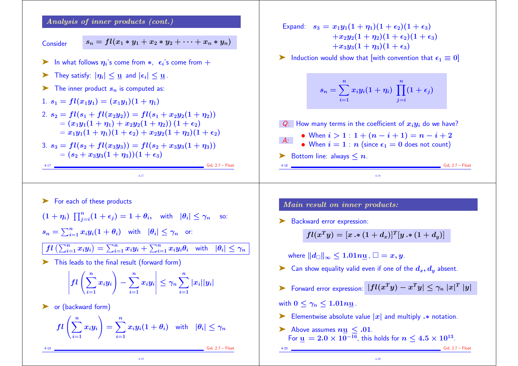Analysis of inner products (cont.)

Consider 
$$
s_n = fl(x_1 * y_1 + x_2 * y_2 + \cdots + x_n * y_n)
$$

- ▶ In what follows  $\eta_i$ 's come from  $*$ ,  $\epsilon_i$ 's come from  $+$
- $\triangleright$  They satisfy:  $|\eta_i| \leq u$  and  $|\epsilon_i| \leq u$ .
- $\blacktriangleright$  The inner product  $s_n$  is computed as:
- 1.  $s_1 = fl(x_1y_1) = (x_1y_1)(1 + \eta_1)$ 2.  $s_2 = fl(s_1 + fl(x_2y_2)) = fl(s_1 + x_2y_2(1 + \eta_2))$  $=(x_1y_1(1+\eta_1)+x_2y_2(1+\eta_2))(1+\epsilon_2)$  $= x_1y_1(1+\eta_1)(1+\epsilon_2) + x_2y_2(1+\eta_2)(1+\epsilon_2)$
- 3.  $s_3 = fl(s_2 + fl(x_3y_3)) = fl(s_2 + x_3y_3(1 + \eta_3))$  $=(s_2 + x_3y_3(1 + \eta_3))(1 + \epsilon_3)$

4-17 GvL 2.7 – Float 4-17

► For each of these products

$$
(1 + \eta_i) \prod_{j=i}^n (1 + \epsilon_j) = 1 + \theta_i, \text{ with } |\theta_i| \leq \gamma_n \text{ so:}
$$
  

$$
s_n = \sum_{i=1}^n x_i y_i (1 + \theta_i) \text{ with } |\theta_i| \leq \gamma_n \text{ or:}
$$

$$
fl\left(\sum_{i=1}^n x_i y_i\right) = \sum_{i=1}^n x_i y_i + \sum_{i=1}^n x_i y_i \theta_i \text{ with } |\theta_i| \leq \gamma_n
$$

➤ This leads to the final result (forward form)

$$
\left|fl\left(\sum_{i=1}^nx_iy_i\right)-\sum_{i=1}^nx_iy_i\right|\leq \gamma_n\sum_{i=1}^n|x_i||y_i|
$$

▶ or (backward form)

$$
fl\left(\sum_{i=1}^n x_i y_i\right) = \sum_{i=1}^n x_i y_i (1+\theta_i) \quad \text{with} \quad |\theta_i| \leq \gamma_n
$$

4-19

4-19 GvL 2.7 – Float

Expand:  $s_3 = x_1y_1(1 + \eta_1)(1 + \epsilon_2)(1 + \epsilon_3)$  $+x_2y_2(1+\eta_2)(1+\epsilon_2)(1+\epsilon_3)$  $+x_3y_3(1 + \eta_3)(1 + \epsilon_3)$ 

ightharpoonup Induction would show that [with convention that  $\epsilon_1 \equiv 0$ ]

$$
s_n = \sum_{i=1}^n x_i y_i (1+\eta_i) \; \prod_{j=i}^n (1+\epsilon_j)
$$

 $Q:$  How many terms in the coefficient of  $x_i y_i$  do we have? A: • When  $i > 1 : 1 + (n - i + 1) = n - i + 2$ • When  $i = 1 : n$  (since  $\epsilon_1 = 0$  does not count)  $\blacktriangleright$  Bottom line: always  $\leq n$ .

4-18

Main result on inner products:

▶ Backward error expression:

$$
fl(x^Ty)=[x\bm{\cdot}*(1+d_x)]^T[y\bm{\cdot}*(1+d_y)]
$$

where  $||d_{\square}||_{\infty} \leq 1.01n\underline{\mathbf{u}}$  ,  $\square = x, y$ .

- ightharpoonup Can show equality valid even if one of the  $d_x, d_y$  absent.
- ► Forward error expression:  $|fl(x^Ty) x^Ty| \leq \gamma_n |x|^T |y|$

with  $0 \leq \gamma_n \leq 1.01n\underline{\mathbf{u}}$ .

- ► Elementwise absolute value  $|x|$  and multiply  $\cdot\ast$  notation.
- $\blacktriangleright$  Above assumes  $nu < .01$ . For  $\underline{\mathbf{u}} = 2.0 \times 10^{-16}$ , this holds for  $n \leq 4.5 \times 10^{13}$ .

4-20

 $GvL$  2.7 – Float

 $6vL$  2.7 – Float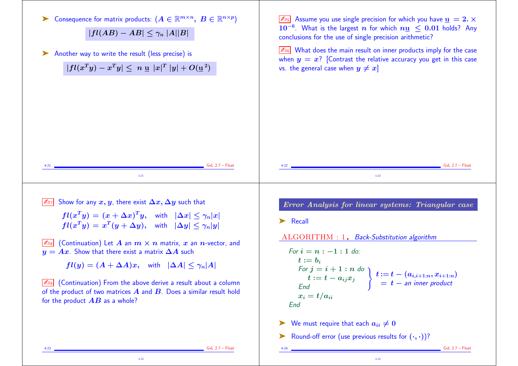

4-23

4-24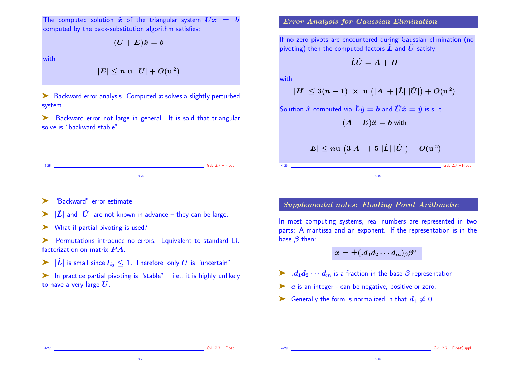The computed solution  $\hat{x}$  of the triangular system  $Ux = b$ computed by the back-substitution algorithm satisfies:

 $(U + E)\hat{x} = b$ 

with

 $|E| \le n$  u  $|U| + O(u^2)$ 

 $\triangleright$  Backward error analysis. Computed x solves a slightly perturbed system.

▶ Backward error not large in general. It is said that triangular solve is "backward stable".

4-25 GvL 2.7 – Float 4-25

## Error Analysis for Gaussian Elimination

If no zero pivots are encountered during Gaussian elimination (no pivoting) then the computed factors  $\hat{L}$  and  $\hat{U}$  satisfy

$$
\hat{L}\hat{U}=A+H
$$

with

$$
|H| \leq 3(n-1) \; \times \; \underline{\mathrm{u}} \, \left( |A| + |\hat{L}| \; |\hat{U}| \right) + O(\underline{\mathrm{u}}^{\; 2})
$$

Solution  $\hat{x}$  computed via  $\hat{L}\hat{y} = b$  and  $\hat{U}\hat{x} = \hat{y}$  is s. t.

$$
(A+E)\hat{x}=b\text{ with }
$$

$$
|E|\leq n\underline{\mathrm{u}}\,\left(3|A|\,\,+\,5\,\,|\hat{L}|\,\,|\hat{U}|\right)+O(\underline{\mathrm{u}}^{\,2})
$$

4-26

➤ "Backward" error estimate.

- $|\hat{L}|$  and  $|\hat{U}|$  are not known in advance they can be large.
- ► What if partial pivoting is used?

Permutations introduce no errors. Equivalent to standard LU factorization on matrix  $\boldsymbol{P} \boldsymbol{A}$ .

- $|\hat{L}|$  is small since  $l_{ij}$  ≤ 1. Therefore, only  $U$  is "uncertain"
- $\blacktriangleright$  In practice partial pivoting is "stable" i.e., it is highly unlikely to have a very large  $U$ .

4-27

Supplemental notes: Floating Point Arithmetic

In most computing systems, real numbers are represented in two parts: A mantissa and an exponent. If the representation is in the base  $\beta$  then:

$$
x=\pm ( .d_{1}d_{2}\cdots d_{m})_{\beta}\beta^{e}
$$

4-28

- $\blacktriangleright$  .  $d_1d_2\cdots d_m$  is a fraction in the base- $\beta$  representation
- $\triangleright$  e is an integer can be negative, positive or zero.
- ► Generally the form is normalized in that  $d_1 \neq 0$ .

4-27 GvL 2.7 – Float

 $GvL$  2.7 – Float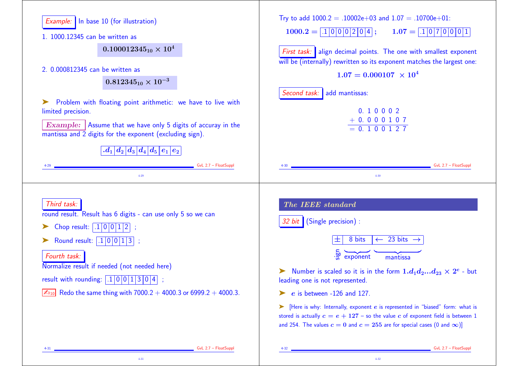| Example: In base 10 (for illustration)<br>1. 1000.12345 can be written as<br>$0.100012345_{10} \times 10^4$<br>2. 0.000812345 can be written as<br>$0.812345_{10} \times 10^{-3}$<br>Problem with floating point arithmetic: we have to live with<br>limited precision.<br><b>Example:</b> Assume that we have only 5 digits of accuray in the<br>mantissa and 2 digits for the exponent (excluding sign).               | Try to add $1000.2 = .10002e+03$ and $1.07 = .10700e+01$ :<br>$1000.2 =  .1 0 0 0 2 0 4 ;$<br>$\boxed{1.07} = \boxed{.1}\boxed{0}\boxed{7}\boxed{0}\boxed{0}\boxed{0}\boxed{1}$<br>First task: align decimal points. The one with smallest exponent<br>will be (internally) rewritten so its exponent matches the largest one:<br>$1.07 = 0.000107 \times 10^4$<br>Second task: add mantissas:<br>0.10002<br>$+ 0.000107$<br>$= 0.100127$                                                                                                                 |
|--------------------------------------------------------------------------------------------------------------------------------------------------------------------------------------------------------------------------------------------------------------------------------------------------------------------------------------------------------------------------------------------------------------------------|-----------------------------------------------------------------------------------------------------------------------------------------------------------------------------------------------------------------------------------------------------------------------------------------------------------------------------------------------------------------------------------------------------------------------------------------------------------------------------------------------------------------------------------------------------------|
| $\left  \left. d_{1} \right  d_{2} \left  d_{3} \right  d_{4} \left  d_{5} \right  e_{1} \left  e_{2} \right $<br>$GvL$ 2.7 - FloatSuppl<br>$4 - 29$                                                                                                                                                                                                                                                                     | GvL 2.7 - FloatSuppl<br>$4\text{-}30$                                                                                                                                                                                                                                                                                                                                                                                                                                                                                                                     |
| Third task:<br>round result. Result has 6 digits - can use only 5 so we can<br>Chop result: $\boxed{.1 \,   \, 0 \,   \, 0 \,   \, 1 \,   \, 2}$ ;<br>Round result: $\boxed{.1 \,   \, 0 \,   \, 0 \,   \, 1 \,   \, 3 \,  }$ ;<br>Fourth task:<br>Normalize result if needed (not needed here)<br>result with rounding: $.10011304$ ;<br>$\mathbb{Z}_{10}$ Redo the same thing with 7000.2 + 4000.3 or 6999.2 + 4000.3. | The IEEE standard<br>32 bit (Single precision) :<br>$\leftarrow$ 23 bits $\rightarrow$<br>8 bits<br>士<br>$\frac{5}{5}$ exponent<br>mantissa<br>Number is scaled so it is in the form $1.d_1d_2d_{23} \times 2^e$ - but<br>leading one is not represented.<br>$e$ is between -126 and 127.<br>[Here is why: Internally, exponent e is represented in "biased" form: what is<br>➤<br>stored is actually $c = e + 127$ – so the value c of exponent field is between 1<br>and 254. The values $c = 0$ and $c = 255$ are for special cases (0 and $\infty$ )] |
| GvL 2.7 - FloatSuppl                                                                                                                                                                                                                                                                                                                                                                                                     | GvL 2.7 - FloatSuppl                                                                                                                                                                                                                                                                                                                                                                                                                                                                                                                                      |

4-32

4-31